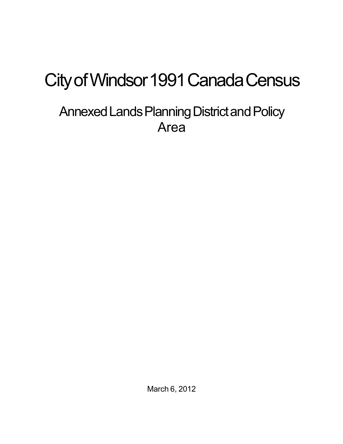# City of Windsor 1991 Canada Census

## Annexed Lands Planning District and Policy Area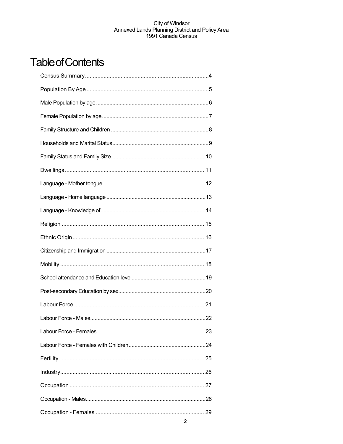## **Table of Contents**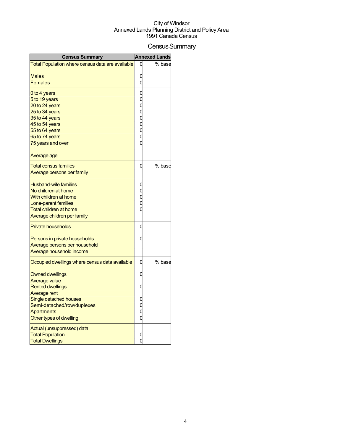## Census Summary

| <b>Census Summary</b>                                  |   | <b>Annexed Lands</b> |
|--------------------------------------------------------|---|----------------------|
| Total Population where census data are available       |   | % base               |
|                                                        |   |                      |
| Males<br>Females                                       |   |                      |
|                                                        |   |                      |
| 0 to 4 years                                           |   |                      |
| 5 to 19 years<br>20 to 24 years                        |   |                      |
| 25 to 34 years                                         |   |                      |
| 35 to 44 years                                         |   |                      |
| 45 to 54 years                                         |   |                      |
| 55 to 64 years                                         |   |                      |
| 65 to 74 years                                         |   |                      |
| 75 years and over                                      |   |                      |
| Average age                                            |   |                      |
| <u>Total census families</u>                           | 0 | % base               |
| Average persons per family                             |   |                      |
| <b>Husband-wife families</b>                           |   |                      |
| No children at home                                    |   |                      |
| With children at home                                  |   |                      |
| Lone-parent families                                   |   |                      |
| <b>Total children at home</b>                          |   |                      |
| Average children per family                            |   |                      |
| <b>Private households</b>                              | C |                      |
| Persons in private households                          |   |                      |
| Average persons per household                          |   |                      |
| Average household income                               |   |                      |
| Occupied dwellings where census data available         | O | % base               |
| <b>Owned dwellings</b>                                 |   |                      |
| <b>Average value</b>                                   |   |                      |
| <b>Rented dwellings</b>                                |   |                      |
| Average rent                                           |   |                      |
| Single detached houses<br>Semi-detached/row/duplexes   |   |                      |
| Apartments                                             |   |                      |
| Other types of dwelling                                |   |                      |
|                                                        |   |                      |
| Actual (unsuppressed) data:<br><b>Total Population</b> |   |                      |
| <b>Total Dwellings</b>                                 |   |                      |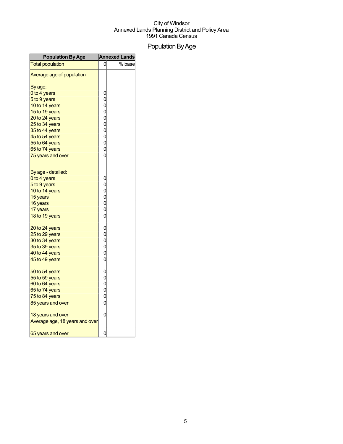## Population By Age

| <b>Population By Age</b>       |                                   | <b>Annexed Lands</b> |
|--------------------------------|-----------------------------------|----------------------|
| <b>Total population</b>        | 0                                 | % base               |
| Average age of population      |                                   |                      |
| By age:                        |                                   |                      |
| 0 to 4 years                   |                                   |                      |
| 5 to 9 years                   |                                   |                      |
| 10 to 14 years                 |                                   |                      |
| 15 to 19 years                 |                                   |                      |
| 20 to 24 years                 |                                   |                      |
| 25 to 34 years                 | 00000000000                       |                      |
| 35 to 44 years                 |                                   |                      |
| 45 to 54 years                 |                                   |                      |
| 55 to 64 years                 |                                   |                      |
| 65 to 74 years                 |                                   |                      |
| 75 years and over              | $\overline{0}$                    |                      |
|                                |                                   |                      |
| By age - detailed:             |                                   |                      |
| 0 to 4 years                   | $\mathbf{0}$                      |                      |
| 5 to 9 years                   | 00000                             |                      |
| 10 to 14 years                 |                                   |                      |
| 15 years                       |                                   |                      |
| 16 years                       |                                   |                      |
| 17 years                       |                                   |                      |
| 18 to 19 years                 | $\overline{0}$                    |                      |
| 20 to 24 years                 |                                   |                      |
| 25 to 29 years                 | 000000                            |                      |
| 30 to 34 years                 |                                   |                      |
| 35 to 39 years                 |                                   |                      |
| 40 to 44 years                 |                                   |                      |
| 45 to 49 years                 |                                   |                      |
| 50 to 54 years                 | $\begin{matrix}0\\0\end{matrix}$  |                      |
| 55 to 59 years                 |                                   |                      |
| 60 to 64 years                 | $\begin{matrix}0\0\0\end{matrix}$ |                      |
| 65 to 74 years                 |                                   |                      |
| 75 to 84 years                 |                                   |                      |
| 85 years and over              | $\overline{0}$                    |                      |
| 18 years and over              | 0                                 |                      |
| Average age, 18 years and over |                                   |                      |
| 65 years and over              | 0                                 |                      |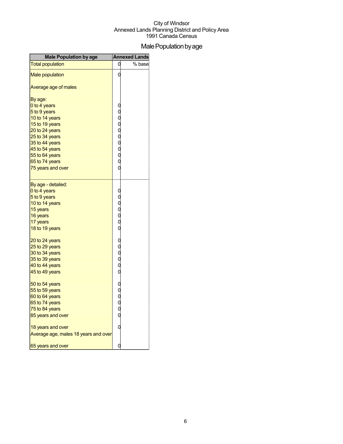## Male Population by age

| <b>Male Population by age</b>        |            | <b>Annexed Lands</b> |
|--------------------------------------|------------|----------------------|
| <b>Total population</b>              | 0          | % base               |
| <b>Male population</b>               | 0          |                      |
| Average age of males                 |            |                      |
| By age:                              |            |                      |
| 0 to 4 years                         |            |                      |
| 5 to 9 years                         |            |                      |
| 10 to 14 years                       |            |                      |
| 15 to 19 years                       |            |                      |
| 20 to 24 years                       |            |                      |
| 25 to 34 years                       |            |                      |
| 35 to 44 years                       |            |                      |
| 45 to 54 years                       |            |                      |
| 55 to 64 years                       |            |                      |
| 65 to 74 years                       | 0000000000 |                      |
| 75 years and over                    |            |                      |
| By age - detailed:                   |            |                      |
| 0 to 4 years                         |            |                      |
| 5 to 9 years                         |            |                      |
| 10 to 14 years                       |            |                      |
| 15 years                             |            |                      |
| 16 years                             |            |                      |
| 17 years                             | 000000     |                      |
| 18 to 19 years                       |            |                      |
| 20 to 24 years                       |            |                      |
| 25 to 29 years                       |            |                      |
| 30 to 34 years                       |            |                      |
| 35 to 39 years                       |            |                      |
| 40 to 44 years                       |            |                      |
| 45 to 49 years                       | 0000000000 |                      |
| 50 to 54 years                       |            |                      |
| 55 to 59 years                       |            |                      |
| 60 to 64 years                       |            |                      |
| 65 to 74 years                       |            |                      |
| 75 to 84 years                       |            |                      |
| 85 years and over                    |            |                      |
| 18 years and over                    | 0          |                      |
| Average age, males 18 years and over |            |                      |
| 65 years and over                    | 0          |                      |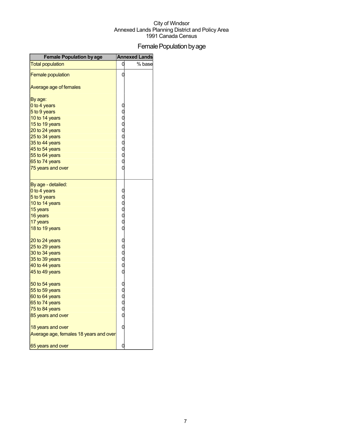## Female Population by age

| <b>Female Population by age</b>        |                                                | <b>Annexed Lands</b> |
|----------------------------------------|------------------------------------------------|----------------------|
| <b>Total population</b>                | 0                                              | % base               |
| <b>Female population</b>               | O                                              |                      |
| Average age of females                 |                                                |                      |
| By age:                                |                                                |                      |
| 0 to 4 years                           |                                                |                      |
| 5 to 9 years                           |                                                |                      |
| 10 to 14 years                         |                                                |                      |
| 15 to 19 years                         |                                                |                      |
| 20 to 24 years                         |                                                |                      |
| 25 to 34 years                         |                                                |                      |
| 35 to 44 years                         |                                                |                      |
| 45 to 54 years                         |                                                |                      |
| 55 to 64 years                         | oooooooo                                       |                      |
| 65 to 74 years                         |                                                |                      |
| 75 years and over                      | O                                              |                      |
| By age - detailed:                     |                                                |                      |
| 0 to 4 years                           |                                                |                      |
| 5 to 9 years                           | 000000                                         |                      |
| 10 to 14 years                         |                                                |                      |
| 15 years                               |                                                |                      |
| 16 years                               |                                                |                      |
| 17 years                               |                                                |                      |
| 18 to 19 years                         |                                                |                      |
| 20 to 24 years                         |                                                |                      |
| 25 to 29 years                         | ooooo                                          |                      |
| 30 to 34 years                         |                                                |                      |
| 35 to 39 years                         |                                                |                      |
| 40 to 44 years                         |                                                |                      |
| 45 to 49 years                         |                                                |                      |
| 50 to 54 years                         |                                                |                      |
| 55 to 59 years                         | $\begin{matrix} 0 \\ 0 \\ 0 \\ 0 \end{matrix}$ |                      |
| 60 to 64 years                         |                                                |                      |
| 65 to 74 years                         |                                                |                      |
| 75 to 84 years                         |                                                |                      |
| 85 years and over                      |                                                |                      |
| 18 years and over                      |                                                |                      |
| Average age, females 18 years and over |                                                |                      |
| 65 years and over                      | C                                              |                      |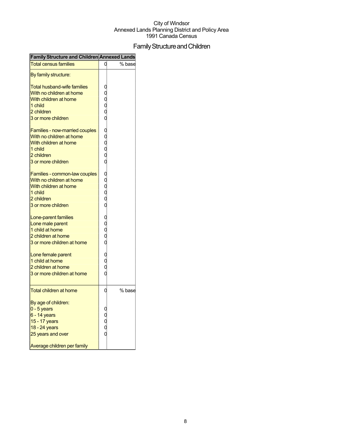## FamilyStructureandChildren

|                                    |                       | Family Structure and Children Annexed Lands |
|------------------------------------|-----------------------|---------------------------------------------|
| <b>Total census families</b>       |                       | % base                                      |
| By family structure:               |                       |                                             |
| <b>Total husband-wife families</b> |                       |                                             |
| With no children at home           |                       |                                             |
| With children at home              |                       |                                             |
| 1 child                            |                       |                                             |
| 2 children                         | 0<br>0<br>0<br>0      |                                             |
| 3 or more children                 | C                     |                                             |
| Families - now-married couples     |                       |                                             |
| With no children at home           |                       |                                             |
| With children at home              | 0<br>0<br>0<br>0      |                                             |
| 1 child                            |                       |                                             |
| 2 children                         |                       |                                             |
| 3 or more children                 | C                     |                                             |
|                                    |                       |                                             |
| Families - common-law couples      |                       |                                             |
| With no children at home           | 0<br>0<br>0<br>0<br>0 |                                             |
| With children at home              |                       |                                             |
| 1 child                            |                       |                                             |
| 2 children                         |                       |                                             |
| 3 or more children                 |                       |                                             |
| Lone-parent families               |                       |                                             |
| Lone male parent                   |                       |                                             |
| 1 child at home                    | 0<br>0<br>0<br>0      |                                             |
| 2 children at home                 |                       |                                             |
| 3 or more children at home         |                       |                                             |
| Lone female parent                 |                       |                                             |
| 1 child at home                    | C<br>C<br>C           |                                             |
| 2 children at home                 |                       |                                             |
| 3 or more children at home         |                       |                                             |
| <b>Total children at home</b>      | 0                     | % base                                      |
|                                    |                       |                                             |
| By age of children:                |                       |                                             |
| $0 - 5$ years                      |                       |                                             |
| 6 - 14 years                       |                       |                                             |
| 15 - 17 years                      |                       |                                             |
| 18 - 24 years                      |                       |                                             |
| 25 years and over                  |                       |                                             |
| Average children per family        |                       |                                             |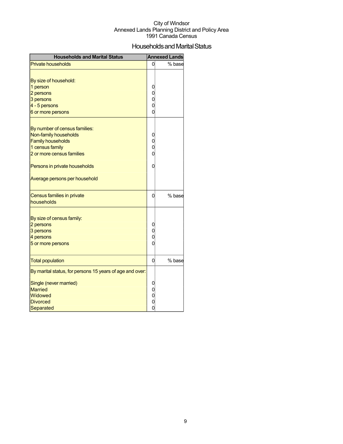## Households and Marital Status

| <b>Households and Marital Status</b>                                               |                                       | <b>Annexed Lands</b> |
|------------------------------------------------------------------------------------|---------------------------------------|----------------------|
| <b>Private households</b>                                                          | 0                                     | % base               |
| By size of household:<br>1 person                                                  | 0                                     |                      |
| 2 persons                                                                          | $\mathbf 0$                           |                      |
| 3 persons                                                                          |                                       |                      |
| 4 - 5 persons                                                                      | $\begin{matrix} 0 \\ 0 \end{matrix}$  |                      |
| 6 or more persons                                                                  | $\overline{0}$                        |                      |
| By number of census families:<br>Non-family households<br><b>Family households</b> | 0<br>$\begin{matrix}0\\0\end{matrix}$ |                      |
| 1 census family                                                                    |                                       |                      |
| 2 or more census families                                                          | $\overline{0}$                        |                      |
| Persons in private households                                                      | 0                                     |                      |
| Average persons per household                                                      |                                       |                      |
| Census families in private<br>households                                           | 0                                     | % base               |
| By size of census family:<br>2 persons                                             | 0                                     |                      |
| 3 persons                                                                          | $\overline{0}$                        |                      |
| 4 persons                                                                          | $\overline{0}$                        |                      |
| 5 or more persons                                                                  | $\overline{0}$                        |                      |
| <b>Total population</b>                                                            | 0                                     | % base               |
| By marital status, for persons 15 years of age and over:                           |                                       |                      |
| Single (never married)<br><b>Married</b><br>Widowed<br><b>Divorced</b>             | $0$<br>$0$<br>$0$                     |                      |
| Separated                                                                          | $\overline{0}$                        |                      |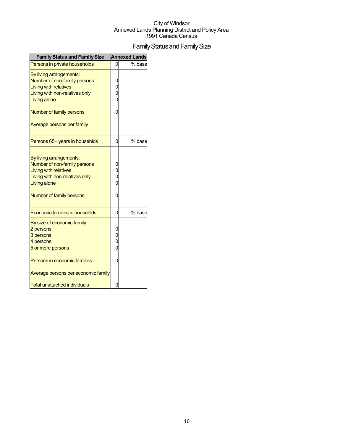## Family Status and Family Size

| <b>Family Status and Family Size</b>                                                                                                                                         |                     | <b>Annexed Lands</b> |
|------------------------------------------------------------------------------------------------------------------------------------------------------------------------------|---------------------|----------------------|
| Persons in private households                                                                                                                                                | 0                   | % base               |
| By living arrangements:<br>Number of non-family persons<br><b>Living with relatives</b><br>Living with non-relatives only<br><b>Living alone</b>                             | 0                   |                      |
| Number of family persons<br>Average persons per family                                                                                                                       | Ω                   |                      |
| Persons 65+ years in househlds                                                                                                                                               | 0                   | % base               |
| By living arrangements:<br>Number of non-family persons<br><b>Living with relatives</b><br>Living with non-relatives only<br><b>Living alone</b><br>Number of family persons | $\overline{0}$<br>0 |                      |
| Economic families in househlds                                                                                                                                               | 0                   | % base               |
| By size of economic family:<br>2 persons<br>3 persons<br>4 persons<br>5 or more persons<br>Persons in economic families<br>Average persons per economic family               | 0                   |                      |
| <b>Total unattached individuals</b>                                                                                                                                          |                     |                      |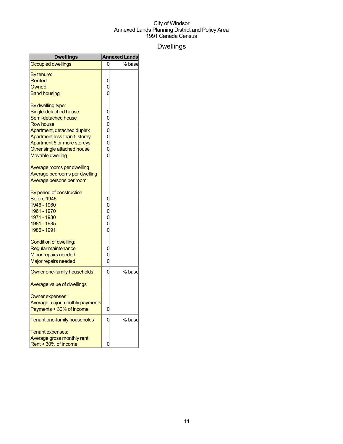## Dwellings

| <b>Dwellings</b>                                            |                                  | <b>Annexed Lands</b> |
|-------------------------------------------------------------|----------------------------------|----------------------|
| <b>Occupied dwellings</b>                                   | 0                                | % base               |
| By tenure:                                                  |                                  |                      |
| Rented                                                      | 0                                |                      |
| Owned                                                       | 0                                |                      |
| <b>Band housing</b>                                         | 0                                |                      |
|                                                             |                                  |                      |
| By dwelling type:                                           |                                  |                      |
| Single-detached house                                       | 0                                |                      |
| Semi-detached house                                         | 0                                |                      |
| <b>Row house</b>                                            | $\overline{0}$<br>$\overline{0}$ |                      |
| Apartment, detached duplex                                  |                                  |                      |
| Apartment less than 5 storey<br>Apartment 5 or more storeys | 0<br>0                           |                      |
| Other single attached house                                 | $\overline{0}$                   |                      |
| <b>Movable dwelling</b>                                     | $\overline{0}$                   |                      |
|                                                             |                                  |                      |
| Average rooms per dwelling                                  |                                  |                      |
| Average bedrooms per dwelling                               |                                  |                      |
| Average persons per room                                    |                                  |                      |
|                                                             |                                  |                      |
| By period of construction                                   |                                  |                      |
| Before 1946                                                 | 0                                |                      |
| 1946 - 1960                                                 | 0                                |                      |
| 1961 - 1970<br>1971 - 1980                                  | $\overline{0}$<br>$\overline{0}$ |                      |
| 1981 - 1985                                                 | $\overline{0}$                   |                      |
| 1986 - 1991                                                 | 0                                |                      |
|                                                             |                                  |                      |
| Condition of dwelling:                                      |                                  |                      |
| Regular maintenance                                         | 0                                |                      |
| Minor repairs needed                                        | 0                                |                      |
| Major repairs needed                                        | 0                                |                      |
| Owner one-family households                                 | 0                                | % base               |
| Average value of dwellings                                  |                                  |                      |
|                                                             |                                  |                      |
| Owner expenses:                                             |                                  |                      |
| Average major monthly payments                              |                                  |                      |
| Payments > 30% of income                                    | 0                                |                      |
| <b>Tenant one-family households</b>                         | 0                                | % base               |
| Tenant expenses:                                            |                                  |                      |
| Average gross monthly rent                                  |                                  |                      |
| Rent > 30% of income                                        | 0                                |                      |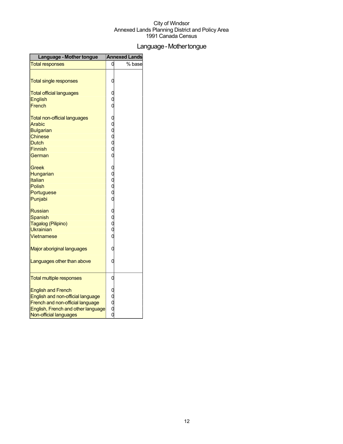## Language-Mothertongue

| Language - Mother tongue                                               |                       | <b>Annexed Lands</b> |
|------------------------------------------------------------------------|-----------------------|----------------------|
| <b>Total responses</b>                                                 |                       | % base               |
|                                                                        |                       |                      |
| <b>Total single responses</b>                                          | C                     |                      |
| <b>Total official languages</b>                                        |                       |                      |
| <b>English</b>                                                         |                       |                      |
| French                                                                 |                       |                      |
| <b>Total non-official languages</b>                                    |                       |                      |
| Arabic                                                                 |                       |                      |
| <b>Bulgarian</b>                                                       |                       |                      |
| Chinese                                                                |                       |                      |
| <b>Dutch</b>                                                           |                       |                      |
| <b>Finnish</b>                                                         | 000000                |                      |
| German                                                                 |                       |                      |
| Greek                                                                  |                       |                      |
| Hungarian                                                              |                       |                      |
| Italian                                                                | 000000                |                      |
| Polish                                                                 |                       |                      |
| Portuguese                                                             |                       |                      |
| Punjabi                                                                |                       |                      |
| <b>Russian</b>                                                         |                       |                      |
| <b>Spanish</b>                                                         |                       |                      |
| Tagalog (Pilipino)                                                     |                       |                      |
| <b>Ukrainian</b>                                                       | 0<br>0<br>0<br>0<br>0 |                      |
| Vietnamese                                                             |                       |                      |
| Major aboriginal languages                                             | 0                     |                      |
| Languages other than above                                             | 0                     |                      |
|                                                                        |                       |                      |
| <b>Total multiple responses</b>                                        | 0                     |                      |
|                                                                        |                       |                      |
| <b>English and French</b>                                              |                       |                      |
| English and non-official language                                      |                       |                      |
| French and non-official language<br>English, French and other language |                       |                      |
| Non-official languages                                                 | o<br>o<br>o<br>o      |                      |
|                                                                        |                       |                      |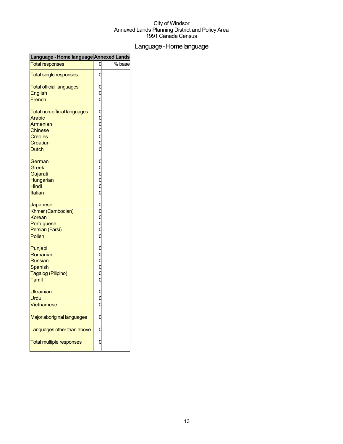## Language-Homelanguage

| Language - Home language Annexed Lands |                       |        |
|----------------------------------------|-----------------------|--------|
| <b>Total responses</b>                 | C                     | % base |
| <b>Total single responses</b>          | С                     |        |
| <b>Total official languages</b>        |                       |        |
| English                                | C<br>C<br>C           |        |
| French                                 |                       |        |
| <b>Total non-official languages</b>    |                       |        |
| <b>Arabic</b>                          | 0000000               |        |
| Armenian                               |                       |        |
| <b>Chinese</b>                         |                       |        |
| <b>Creoles</b>                         |                       |        |
| Croatian                               |                       |        |
| <b>Dutch</b>                           |                       |        |
| German                                 |                       |        |
| Greek                                  | 0<br>0<br>0<br>0<br>0 |        |
| Gujarati                               |                       |        |
| Hungarian                              |                       |        |
| Hindi                                  |                       |        |
| Italian                                |                       |        |
| Japanese                               |                       |        |
| Khmer (Cambodian)                      |                       |        |
| Korean                                 |                       |        |
| Portuguese                             | o o o o o             |        |
| Persian (Farsi)                        |                       |        |
| <b>Polish</b>                          |                       |        |
| Punjabi                                |                       |        |
| Romanian                               | 0<br>0<br>0<br>0<br>0 |        |
| <b>Russian</b>                         |                       |        |
| <b>Spanish</b>                         |                       |        |
| Tagalog (Pilipino)                     |                       |        |
| Tamil                                  |                       |        |
| <b>Ukrainian</b>                       |                       |        |
| Urdu                                   |                       |        |
| Vietnamese                             |                       |        |
| Major aboriginal languages             |                       |        |
| Languages other than above             |                       |        |
| <b>Total multiple responses</b>        |                       |        |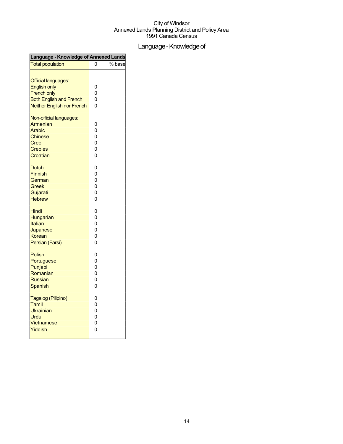## Language - Knowledge of

| Language - Knowledge of Annexed Lands                                                                                                   |                                   |        |
|-----------------------------------------------------------------------------------------------------------------------------------------|-----------------------------------|--------|
| <b>Total population</b>                                                                                                                 | 0                                 | % base |
| <b>Official languages:</b><br><b>English only</b><br><b>French only</b><br><b>Both English and French</b><br>Neither English nor French | 0<br>0<br>0<br>0                  |        |
| Non-official languages:<br>Armenian<br>Arabic<br><b>Chinese</b><br>Cree<br><b>Creoles</b><br>Croatian                                   |                                   |        |
| <b>Dutch</b><br><b>Finnish</b><br>German<br>Greek<br>Gujarati<br><b>Hebrew</b>                                                          |                                   |        |
| <b>Hindi</b><br>Hungarian<br>Italian<br>Japanese<br>Korean<br>Persian (Farsi)                                                           | 00000 00000 000000 0000000 000000 |        |
| Polish<br>Portuguese<br>Punjabi<br>Romanian<br><b>Russian</b><br>Spanish                                                                |                                   |        |
| Tagalog (Pilipino)<br>Tamil<br>Ukrainian<br>Urdu<br>Vietnamese<br>Yiddish                                                               |                                   |        |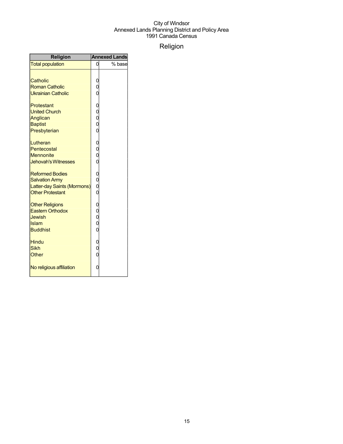## Religion

| <b>Religion</b>                                                                                           |                                          | <b>Annexed Lands</b> |
|-----------------------------------------------------------------------------------------------------------|------------------------------------------|----------------------|
| <b>Total population</b>                                                                                   | 0                                        | % base               |
| Catholic<br><b>Roman Catholic</b><br><b>Ukrainian Catholic</b>                                            | 0<br>O<br>O                              |                      |
| Protestant<br><b>United Church</b><br>Anglican<br><b>Baptist</b><br>Presbyterian                          | 0<br>0<br>0<br>0<br>0                    |                      |
| Lutheran<br>Pentecostal<br><b>Mennonite</b><br><b>Jehovah's Witnesses</b>                                 | 0<br>0<br>0<br>$\overline{0}$            |                      |
| <b>Reformed Bodies</b><br><b>Salvation Army</b><br>Latter-day Saints (Mormons)<br><b>Other Protestant</b> | $\mathbf{O}$<br>$\overline{0}$<br>0<br>0 |                      |
| <b>Other Religions</b><br><b>Eastern Orthodox</b><br>Jewish<br>Islam<br><b>Buddhist</b>                   | 0<br>0<br>0<br>0<br>$\overline{0}$       |                      |
| <b>Hindu</b><br><b>Sikh</b><br><b>Other</b>                                                               | 0<br>$\overline{0}$<br>$\overline{0}$    |                      |
| No religious affiliation                                                                                  | 0                                        |                      |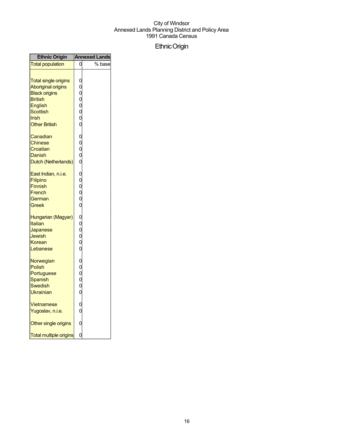## EthnicOrigin

| <b>Ethnic Origin</b>                                                                                                                                |                                       | <b>Annexed Lands</b> |
|-----------------------------------------------------------------------------------------------------------------------------------------------------|---------------------------------------|----------------------|
| <b>Total population</b>                                                                                                                             | 0                                     | % base               |
| <b>Total single origins</b><br><b>Aboriginal origins</b><br><b>Black origins</b><br>British<br>English<br>Scottish<br>Irish<br><b>Other British</b> | , o ooooo ooooo ooooooo ooooo ooooooo |                      |
| Canadian<br>Chinese<br>Croatian<br>Danish<br>Dutch (Netherlands)                                                                                    |                                       |                      |
| <u>East Indian, n.i.e.</u><br>Filipino<br><b>Finnish</b><br>French<br>German<br>Greek                                                               |                                       |                      |
| Hungarian (Magyar)<br>Italian<br>Japanese<br>Jewish<br>Korean<br>Lebanese                                                                           |                                       |                      |
| Norwegian<br>Polish<br>Portuguese<br>Spanish<br>Swedish<br>Ukrainian                                                                                |                                       |                      |
| <b>Vietnamese</b><br>Yugoslav, n.i.e.                                                                                                               |                                       |                      |
| Other single origins                                                                                                                                | $\mathbf{0}$                          |                      |
| <b>Total multiple origins</b>                                                                                                                       | $\mathbf{0}$                          |                      |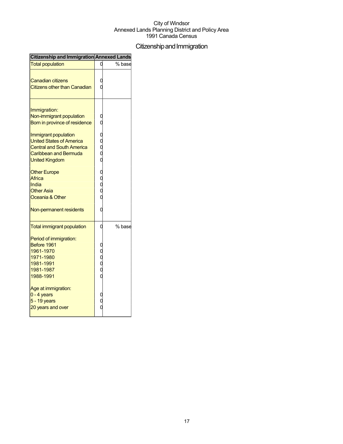## Citizenship and Immigration

| Citizenship and Immigration Annexed Lands                                                                                                                                                                                         |        |
|-----------------------------------------------------------------------------------------------------------------------------------------------------------------------------------------------------------------------------------|--------|
| <b>Total population</b>                                                                                                                                                                                                           | % base |
| Canadian citizens<br><b>Citizens other than Canadian</b>                                                                                                                                                                          |        |
| Immigration:<br>Non-immigrant population<br>Born in province of residence<br>Immigrant population<br><b>United States of America</b><br><b>Central and South America</b><br><b>Caribbean and Bermuda</b><br><b>United Kingdom</b> |        |
| <b>Other Europe</b><br>Africa<br>India<br><b>Other Asia</b><br>Oceania & Other<br>Non-permanent residents                                                                                                                         |        |
| <b>Total immigrant population</b>                                                                                                                                                                                                 | % base |
| Period of immigration:<br>Before 1961<br>1961-1970<br>1971-1980<br>1981-1991<br>1981-1987<br>1988-1991                                                                                                                            |        |
| Age at immigration:<br>$0 - 4$ years<br>5 - 19 years<br>20 years and over                                                                                                                                                         |        |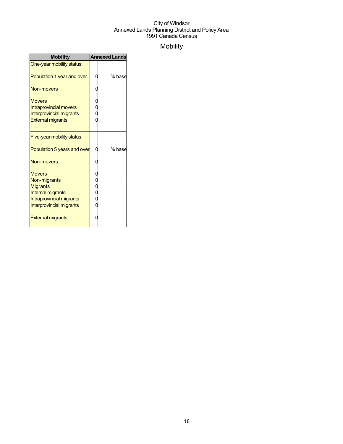## Mobility

| <b>Mobility</b>                                                                                                                                                  | <b>Annexed Lands</b> |        |
|------------------------------------------------------------------------------------------------------------------------------------------------------------------|----------------------|--------|
| One-year mobility status:                                                                                                                                        |                      |        |
| Population 1 year and over                                                                                                                                       |                      | % base |
| Non-movers                                                                                                                                                       |                      |        |
| <b>Movers</b><br><b>Intraprovincial movers</b><br><b>Interprovincial migrants</b><br><b>External migrants</b>                                                    | 0<br>0<br>0          |        |
| Five-year mobility status:                                                                                                                                       |                      |        |
| Population 5 years and over                                                                                                                                      |                      | % base |
| Non-movers                                                                                                                                                       |                      |        |
| <b>Movers</b><br>Non-migrants<br><b>Migrants</b><br><b>Internal migrants</b><br>Intraprovincial migrants<br>Interprovincial migrants<br><b>External migrants</b> | u<br>O<br>O<br>O     |        |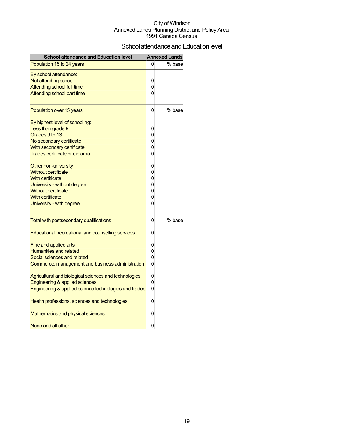## School attendance and Education level

| <b>School attendance and Education level</b>          |                | <b>Annexed Lands</b> |
|-------------------------------------------------------|----------------|----------------------|
| Population 15 to 24 years                             | 0              | % base               |
| By school attendance:                                 |                |                      |
| Not attending school                                  | 0              |                      |
| <b>Attending school full time</b>                     | 0              |                      |
| Attending school part time                            | 0              |                      |
| Population over 15 years                              | 0              | % base               |
| By highest level of schooling:                        |                |                      |
| Less than grade 9                                     | 0              |                      |
| Grades 9 to 13                                        | 0              |                      |
| No secondary certificate                              | 0              |                      |
| With secondary certificate                            | 0              |                      |
| Trades certificate or diploma                         | 0              |                      |
| Other non-university                                  | 0              |                      |
| <b>Without certificate</b>                            | 0              |                      |
| <b>With certificate</b>                               | 0              |                      |
| University - without degree                           | 0              |                      |
| <b>Without certificate</b>                            | 0              |                      |
| <b>With certificate</b>                               | 0              |                      |
| University - with degree                              | 0              |                      |
| Total with postsecondary qualifications               | 0              | % base               |
| Educational, recreational and counselling services    | 0              |                      |
| Fine and applied arts                                 | 0              |                      |
| <b>Humanities and related</b>                         | 0              |                      |
| Social sciences and related                           | 0              |                      |
| Commerce, management and business administration      | 0              |                      |
| Agricultural and biological sciences and technologies | 0              |                      |
| Engineering & applied sciences                        | $\overline{0}$ |                      |
| Engineering & applied science technologies and trades | $\overline{0}$ |                      |
| Health professions, sciences and technologies         | 0              |                      |
| Mathematics and physical sciences                     | 0              |                      |
| None and all other                                    | 0              |                      |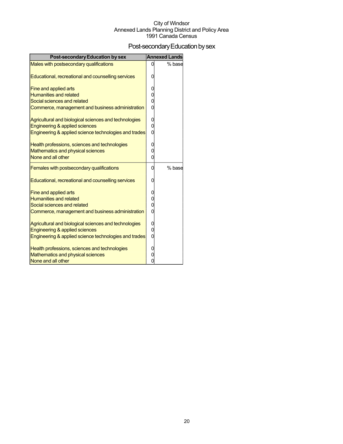## Post-secondary Education by sex

| <b>Post-secondary Education by sex</b>                |                | <b>Annexed Lands</b> |
|-------------------------------------------------------|----------------|----------------------|
| Males with postsecondary qualifications               | 0              | % base               |
| Educational, recreational and counselling services    | 0              |                      |
| Fine and applied arts                                 | 0              |                      |
| <b>Humanities and related</b>                         | 0              |                      |
| Social sciences and related                           | $\overline{0}$ |                      |
| Commerce, management and business administration      | $\overline{0}$ |                      |
| Agricultural and biological sciences and technologies | 0              |                      |
| Engineering & applied sciences                        | 0              |                      |
| Engineering & applied science technologies and trades | 0              |                      |
| Health professions, sciences and technologies         | 0              |                      |
| <b>Mathematics and physical sciences</b>              | 0              |                      |
| None and all other                                    | $\overline{0}$ |                      |
| <b>Females with postsecondary qualifications</b>      | 0              | % base               |
| Educational, recreational and counselling services    | 0              |                      |
| Fine and applied arts                                 | 0              |                      |
| <b>Humanities and related</b>                         | 0              |                      |
| Social sciences and related                           | $\overline{0}$ |                      |
| Commerce, management and business administration      | 0              |                      |
| Agricultural and biological sciences and technologies | 0              |                      |
| Engineering & applied sciences                        | 0              |                      |
| Engineering & applied science technologies and trades | 0              |                      |
| Health professions, sciences and technologies         | 0              |                      |
| Mathematics and physical sciences                     | 0              |                      |
| None and all other                                    | 0              |                      |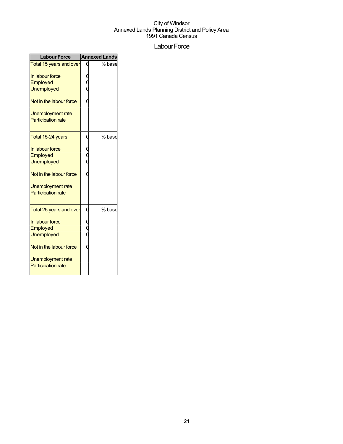### Labour Force

| <b>Labour Force</b>                              |             | <b>Annexed Lands</b> |
|--------------------------------------------------|-------------|----------------------|
| Total 15 years and over                          |             | % base               |
| In labour force<br>Employed                      | 0<br>0      |                      |
| <b>Unemployed</b>                                |             |                      |
| Not in the labour force                          |             |                      |
| Unemployment rate<br><b>Participation rate</b>   |             |                      |
| Total 15-24 years                                | 0           | % base               |
| In labour force<br>Employed<br><b>Unemployed</b> | 0<br>0<br>0 |                      |
| Not in the labour force                          |             |                      |
| Unemployment rate<br><b>Participation rate</b>   |             |                      |
| Total 25 years and over                          | 0           | % base               |
| In labour force<br>Employed<br><b>Unemployed</b> |             |                      |
| Not in the labour force                          |             |                      |
| Unemployment rate<br><b>Participation rate</b>   |             |                      |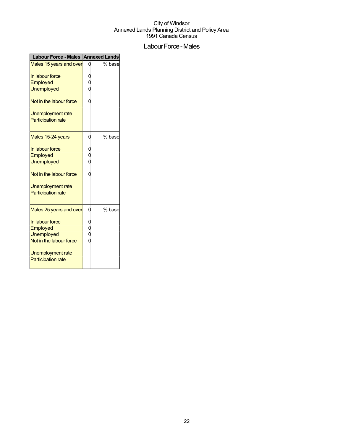## Labour Force - Males

| Labour Force - Males Annexed Lands                                                                                            |   |        |
|-------------------------------------------------------------------------------------------------------------------------------|---|--------|
| Males 15 years and over                                                                                                       |   | % base |
| In labour force<br>Employed<br>Unemployed                                                                                     |   |        |
| Not in the labour force                                                                                                       |   |        |
| Unemployment rate<br><b>Participation rate</b>                                                                                |   |        |
| Males 15-24 years                                                                                                             |   | % base |
| In labour force<br>Employed<br><b>Unemployed</b>                                                                              |   |        |
| Not in the labour force                                                                                                       |   |        |
| Unemployment rate<br><b>Participation rate</b>                                                                                |   |        |
| Males 25 years and over                                                                                                       | ი | % base |
| In labour force<br>Employed<br><b>Unemployed</b><br>Not in the labour force<br>Unemployment rate<br><b>Participation rate</b> |   |        |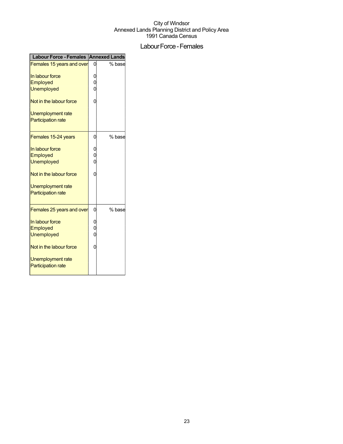## Labour Force - Females

| Labour Force - Females Annexed Lands                  |        |        |
|-------------------------------------------------------|--------|--------|
| Females 15 years and over                             |        | % base |
| In labour force<br>Employed                           | 0<br>Ó |        |
| <b>Unemployed</b>                                     |        |        |
| Not in the labour force                               | 0      |        |
| Unemployment rate<br><b>Participation rate</b>        |        |        |
| Females 15-24 years                                   | 0      | % base |
| In labour force<br>Employed<br><b>Unemployed</b>      | 0<br>O |        |
| Not in the labour force                               | 0      |        |
| <b>Unemployment rate</b><br><b>Participation rate</b> |        |        |
| Females 25 years and over                             | 0      | % base |
| In labour force<br>Employed<br><b>Unemployed</b>      | Ó<br>Ó |        |
| Not in the labour force                               | 0      |        |
| Unemployment rate<br><b>Participation rate</b>        |        |        |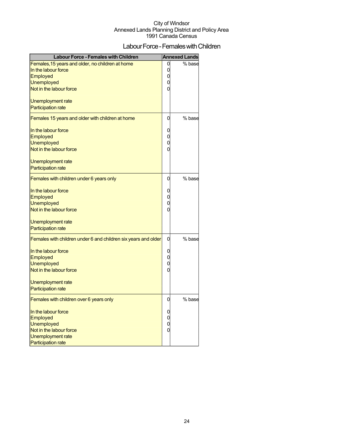## Labour Force - Females with Children

| Labour Force - Females with Children                           |                | <b>Annexed Lands</b> |
|----------------------------------------------------------------|----------------|----------------------|
| Females, 15 years and older, no children at home               | 0              | % base               |
| In the labour force                                            | 0              |                      |
| <b>Employed</b>                                                | 0              |                      |
| <b>Unemployed</b>                                              | 0              |                      |
| Not in the labour force                                        | 0              |                      |
| Unemployment rate                                              |                |                      |
| <b>Participation rate</b>                                      |                |                      |
| Females 15 years and older with children at home               | 0              | % base               |
| In the labour force                                            | 0              |                      |
| <b>Employed</b>                                                | 0              |                      |
| <b>Unemployed</b>                                              | $\overline{0}$ |                      |
| Not in the labour force                                        | 0              |                      |
| Unemployment rate                                              |                |                      |
| <b>Participation rate</b>                                      |                |                      |
| Females with children under 6 years only                       | 0              | % base               |
| In the labour force                                            | 0              |                      |
| Employed                                                       | 0              |                      |
| <b>Unemployed</b>                                              | $\overline{0}$ |                      |
| Not in the labour force                                        | $\Omega$       |                      |
| Unemployment rate                                              |                |                      |
| <b>Participation rate</b>                                      |                |                      |
| Females with children under 6 and children six years and older | 0              | % base               |
| In the labour force                                            | 0              |                      |
| Employed                                                       | 0              |                      |
| <b>Unemployed</b>                                              | 0              |                      |
| Not in the labour force                                        | $\Omega$       |                      |
|                                                                |                |                      |
| Unemployment rate<br><b>Participation rate</b>                 |                |                      |
|                                                                |                |                      |
| Females with children over 6 years only                        | 0              | % base               |
| In the labour force                                            | 0              |                      |
| <b>Employed</b>                                                | 0              |                      |
| Unemployed                                                     | 0              |                      |
| Not in the labour force                                        | $\overline{0}$ |                      |
| Unemployment rate                                              |                |                      |
| <b>Participation rate</b>                                      |                |                      |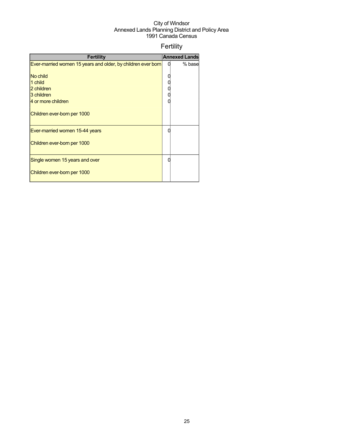## Fertility

| <b>Fertility</b>                                             |   | <b>Annexed Lands</b> |
|--------------------------------------------------------------|---|----------------------|
| Ever-married women 15 years and older, by children ever born | U | % base               |
| No child                                                     |   |                      |
| 1 child                                                      |   |                      |
| 2 children                                                   |   |                      |
| 3 children                                                   |   |                      |
| 4 or more children                                           |   |                      |
| Children ever-born per 1000                                  |   |                      |
| Ever-married women 15-44 years                               |   |                      |
| Children ever-born per 1000                                  |   |                      |
| Single women 15 years and over                               |   |                      |
| Children ever-born per 1000                                  |   |                      |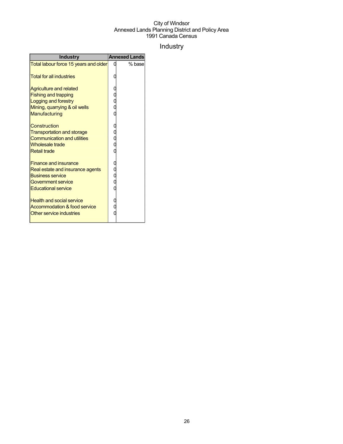## Industry

| <b>Industry</b>                                                                                                                                 | <b>Annexed Lands</b> |
|-------------------------------------------------------------------------------------------------------------------------------------------------|----------------------|
| Total labour force 15 years and older                                                                                                           | % base               |
| <b>Total for all industries</b>                                                                                                                 |                      |
| <b>Agriculture and related</b><br><b>Fishing and trapping</b><br>Logging and forestry<br>Mining, quarrying & oil wells<br>Manufacturing         |                      |
| Construction<br><b>Transportation and storage</b><br><b>Communication and utilities</b><br><b>Wholesale trade</b><br><b>Retail trade</b>        |                      |
| <b>Finance and insurance</b><br>Real estate and insurance agents<br><b>Business service</b><br>Government service<br><b>Educational service</b> |                      |
| <b>Health and social service</b><br><b>Accommodation &amp; food service</b><br>Other service industries                                         |                      |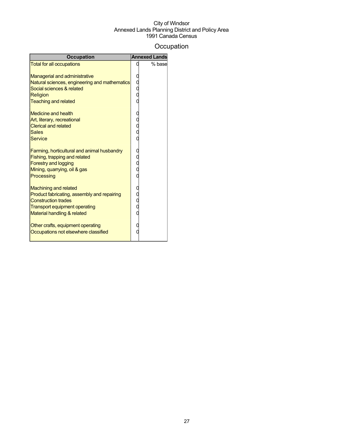## **Occupation**

| <b>Occupation</b>                                                                                                                                                                | <b>Annexed Lands</b> |
|----------------------------------------------------------------------------------------------------------------------------------------------------------------------------------|----------------------|
| <b>Total for all occupations</b>                                                                                                                                                 | % base               |
| <b>Managerial and administrative</b><br>Natural sciences, engineering and mathematics<br>Social sciences & related<br><b>Religion</b><br><b>Teaching and related</b>             |                      |
| <b>Medicine and health</b><br>Art, literary, recreational<br><b>Clerical and related</b><br><b>Sales</b><br><b>Service</b>                                                       |                      |
| Farming, horticultural and animal husbandry<br>Fishing, trapping and related<br><b>Forestry and logging</b><br>Mining, quarrying, oil & gas<br>Processing                        |                      |
| <b>Machining and related</b><br>Product fabricating, assembly and repairing<br><b>Construction trades</b><br><b>Transport equipment operating</b><br>Material handling & related |                      |
| Other crafts, equipment operating<br>Occupations not elsewhere classified                                                                                                        |                      |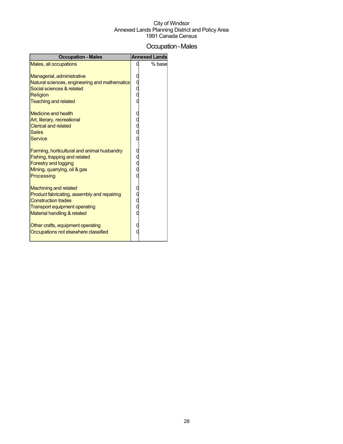## Occupation-Males

| <b>Occupation - Males</b>                                                                                                                                                        | <b>Annexed Lands</b> |
|----------------------------------------------------------------------------------------------------------------------------------------------------------------------------------|----------------------|
| Males, all occupations                                                                                                                                                           | % base               |
| Managerial, administrative<br>Natural sciences, engineering and mathematics<br>Social sciences & related<br>Religion<br><b>Teaching and related</b>                              |                      |
| <b>Medicine and health</b><br>Art, literary, recreational<br><b>Clerical and related</b><br><b>Sales</b><br><b>Service</b>                                                       |                      |
| Farming, horticultural and animal husbandry<br>Fishing, trapping and related<br><b>Forestry and logging</b><br>Mining, quarrying, oil & gas<br>Processing                        |                      |
| <b>Machining and related</b><br>Product fabricating, assembly and repairing<br><b>Construction trades</b><br><b>Transport equipment operating</b><br>Material handling & related |                      |
| Other crafts, equipment operating<br>Occupations not elsewhere classified                                                                                                        |                      |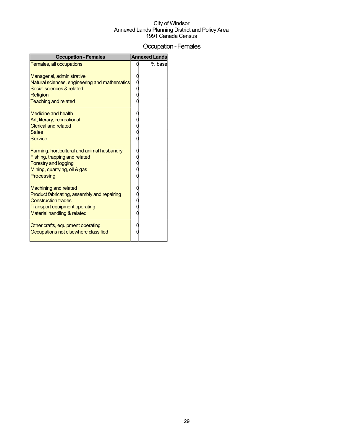## Occupation-Females

| <b>Occupation - Females</b>                                                                                                                                               | <b>Annexed Lands</b> |
|---------------------------------------------------------------------------------------------------------------------------------------------------------------------------|----------------------|
| Females, all occupations                                                                                                                                                  | % base               |
| Managerial, administrative<br>Natural sciences, engineering and mathematics<br>Social sciences & related<br>Religion<br><b>Teaching and related</b>                       |                      |
| <b>Medicine and health</b><br>Art, literary, recreational<br><b>Clerical and related</b><br><b>Sales</b><br><b>Service</b>                                                |                      |
| Farming, horticultural and animal husbandry<br>Fishing, trapping and related<br><b>Forestry and logging</b><br>Mining, quarrying, oil & gas<br>Processing                 |                      |
| <b>Machining and related</b><br>Product fabricating, assembly and repairing<br><b>Construction trades</b><br>Transport equipment operating<br>Material handling & related |                      |
| Other crafts, equipment operating<br>Occupations not elsewhere classified                                                                                                 |                      |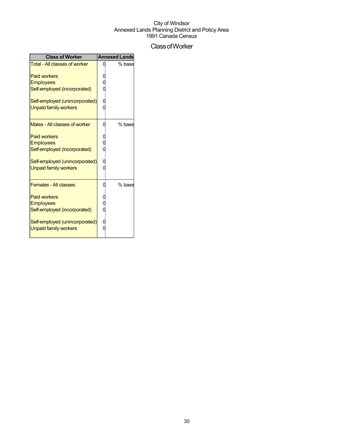## ClassofWorker

| <b>Class of Worker</b>         | <b>Annexed Lands</b> |
|--------------------------------|----------------------|
| Total - All classes of worker  | % base               |
| <b>Paid workers</b>            |                      |
| <b>Employees</b>               |                      |
| Self-employed (incorporated)   |                      |
| Self-employed (unincorporated) |                      |
| <b>Unpaid family workers</b>   |                      |
| Males - All classes of worker  | % base               |
|                                |                      |
| <b>Paid workers</b>            |                      |
| <b>Employees</b>               |                      |
| Self-employed (incorporated)   |                      |
| Self-employed (unincorporated) |                      |
| <b>Unpaid family workers</b>   |                      |
| <b>Females - All classes</b>   | % base               |
| <b>Paid workers</b>            |                      |
| <b>Employees</b>               |                      |
| Self-employed (incorporated)   |                      |
| Self-employed (unincorporated) |                      |
| <b>Unpaid family workers</b>   |                      |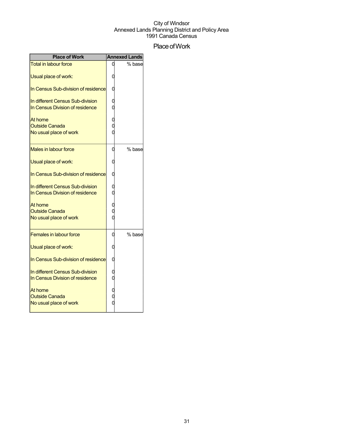## Place of Work

| <b>Place of Work</b>                                                |   | <b>Annexed Lands</b> |
|---------------------------------------------------------------------|---|----------------------|
| <b>Total in labour force</b>                                        |   | % base               |
| Usual place of work:                                                |   |                      |
| In Census Sub-division of residence                                 |   |                      |
| In different Census Sub-division<br>In Census Division of residence |   |                      |
| At home<br><b>Outside Canada</b>                                    |   |                      |
| No usual place of work                                              |   |                      |
| Males in labour force                                               | 0 | % base               |
| Usual place of work:                                                |   |                      |
| In Census Sub-division of residence                                 |   |                      |
| In different Census Sub-division<br>In Census Division of residence |   |                      |
| At home<br><b>Outside Canada</b>                                    |   |                      |
| No usual place of work                                              |   |                      |
| <b>Females in labour force</b>                                      | 0 | % base               |
| Usual place of work:                                                |   |                      |
| In Census Sub-division of residence                                 | 0 |                      |
| In different Census Sub-division<br>In Census Division of residence |   |                      |
| At home<br><b>Outside Canada</b>                                    |   |                      |
| No usual place of work                                              |   |                      |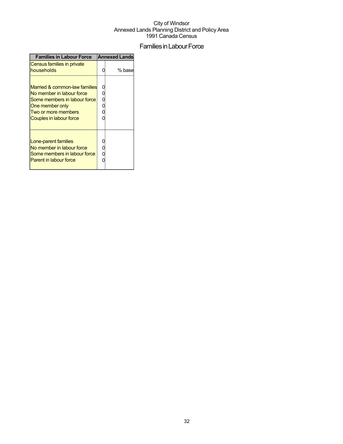## Families in Labour Force

| <b>Families in Labour Force</b>                                                                                                                                        |   | <b>Annexed Lands</b> |  |  |
|------------------------------------------------------------------------------------------------------------------------------------------------------------------------|---|----------------------|--|--|
| Census families in private<br>households                                                                                                                               | n | % base               |  |  |
| Married & common-law families<br>No member in labour force<br>Some members in labour force<br>One member only<br>Two or more members<br><b>Couples in labour force</b> | n |                      |  |  |
| Lone-parent families<br>No member in labour force<br>Some members in labour force<br>Parent in labour force                                                            | O |                      |  |  |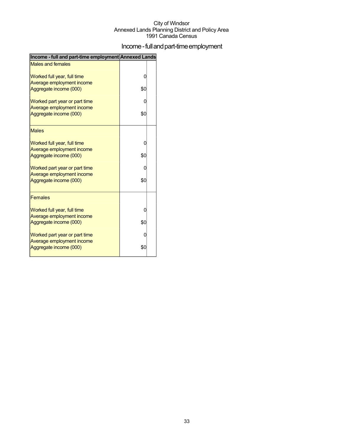## Income - full and part-time employment

| Income - full and part-time employment Annexed Lands |     |  |
|------------------------------------------------------|-----|--|
| <b>Males and females</b>                             |     |  |
| Worked full year, full time                          | 0   |  |
| Average employment income                            |     |  |
| Aggregate income (000)                               | \$0 |  |
| Worked part year or part time                        | O   |  |
| Average employment income                            |     |  |
| Aggregate income (000)                               | \$0 |  |
| <b>Males</b>                                         |     |  |
| Worked full year, full time                          | 0   |  |
| Average employment income                            |     |  |
| Aggregate income (000)                               | \$0 |  |
| Worked part year or part time                        | 0   |  |
| Average employment income                            |     |  |
| Aggregate income (000)                               | \$0 |  |
| <b>Females</b>                                       |     |  |
| Worked full year, full time                          | 0   |  |
| Average employment income                            | \$0 |  |
| Aggregate income (000)                               |     |  |
| Worked part year or part time                        | 0   |  |
| Average employment income<br>Aggregate income (000)  | \$0 |  |
|                                                      |     |  |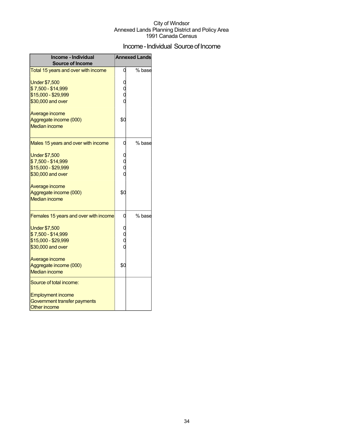## Income - Individual Source of Income

| Income - Individual<br><b>Source of Income</b>                                                             | <b>Annexed Lands</b> |        |
|------------------------------------------------------------------------------------------------------------|----------------------|--------|
| Total 15 years and over with income                                                                        | 0                    | % base |
| <b>Under \$7,500</b><br>\$7,500 - \$14,999<br>\$15,000 - \$29,999<br>\$30,000 and over                     |                      |        |
| Average income<br>Aggregate income (000)<br><b>Median income</b>                                           | \$0                  |        |
| Males 15 years and over with income                                                                        | 0                    | % base |
| <b>Under \$7,500</b><br>\$7,500 - \$14,999<br>\$15,000 - \$29,999<br>\$30,000 and over                     |                      |        |
| Average income<br>Aggregate income (000)<br><b>Median income</b>                                           | \$С                  |        |
| Females 15 years and over with income                                                                      |                      | % base |
| <b>Under \$7,500</b><br>\$7,500 - \$14,999<br>\$15,000 - \$29,999<br>\$30,000 and over                     |                      |        |
| Average income<br>Aggregate income (000)<br><b>Median income</b>                                           | \$0                  |        |
| Source of total income:<br><b>Employment income</b><br>Government transfer payments<br><b>Other income</b> |                      |        |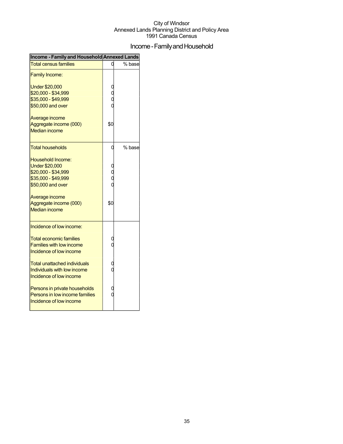## Income - Family and Household

| Income - Family and Household Annexed Lands |     |        |  |  |
|---------------------------------------------|-----|--------|--|--|
| <b>Total census families</b>                | Ω   | % base |  |  |
| <b>Family Income:</b>                       |     |        |  |  |
| <b>Under \$20,000</b>                       |     |        |  |  |
| \$20,000 - \$34,999                         |     |        |  |  |
| \$35,000 - \$49,999                         |     |        |  |  |
| \$50,000 and over                           |     |        |  |  |
| Average income                              |     |        |  |  |
| Aggregate income (000)                      | \$0 |        |  |  |
| <b>Median income</b>                        |     |        |  |  |
| <b>Total households</b>                     | 0   | % base |  |  |
| Household Income:                           |     |        |  |  |
| <b>Under \$20,000</b>                       |     |        |  |  |
| \$20,000 - \$34,999                         |     |        |  |  |
| \$35,000 - \$49,999                         |     |        |  |  |
| \$50,000 and over                           |     |        |  |  |
| Average income                              |     |        |  |  |
| Aggregate income (000)                      | \$0 |        |  |  |
| <b>Median income</b>                        |     |        |  |  |
| Incidence of low income:                    |     |        |  |  |
| <b>Total economic families</b>              |     |        |  |  |
| <b>Families with low income</b>             |     |        |  |  |
| Incidence of low income                     |     |        |  |  |
| Total unattached individuals                | 0   |        |  |  |
| Individuals with low income                 | C   |        |  |  |
| Incidence of low income                     |     |        |  |  |
| Persons in private households               |     |        |  |  |
| Persons in low income families              | ſ   |        |  |  |
| Incidence of low income                     |     |        |  |  |
|                                             |     |        |  |  |